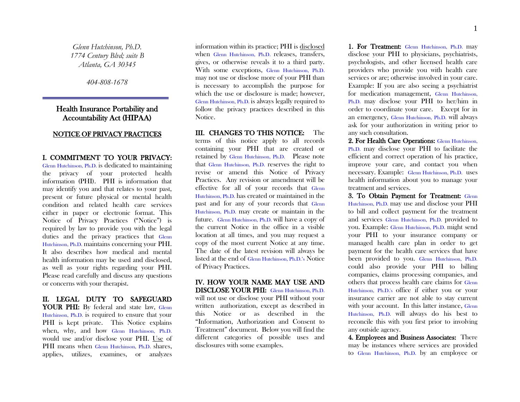*Glenn Hutchinson, Ph.D. 1774 Century Blvd; suite B Atlanta, GA 30345*

*404-808-1678*

## Health Insurance Portability and Accountability Act (HIPAA)

### NOTICE OF PRIVACY PRACTICES

## I. COMMITMENT TO YOUR PRIVACY:

Glenn Hutchinson, Ph.D. is dedicated to maintaining the privacy of your protected health information (PHI). PHI is information that may identify you and that relates to your past, present or future physical or mental health condition and related health care services either in paper or electronic format. This Notice of Privacy Practices ("Notice") is required by law to provide you with the legal duties and the privacy practices that Glenn Hutchinson, Ph.D. maintains concerning your PHI. It also describes how medical and mental health information may be used and disclosed, as well as your rights regarding your PHI. Please read carefully and discuss any questions or concerns with your therapist.

# II. LEGAL DUTY TO SAFEGUARD

YOUR PHI: By federal and state law, Glenn Hutchinson, Ph.D. is required to ensure that your PHI is kept private. This Notice explains when, why, and how Glenn Hutchinson, Ph.D. would use and/or disclose your PHI. Use of PHI means when Glenn Hutchinson, Ph.D. shares, applies, utilizes, examines, or analyzes

information within its practice; PHI is disclosed when Glenn Hutchinson, Ph.D. releases, transfers, gives, or otherwise reveals it to a third party. With some exceptions, Glenn Hutchinson, Ph.D. may not use or disclose more of your PHI than is necessary to accomplish the purpose for which the use or disclosure is made; however, Glenn Hutchinson, Ph.D. is always legally required to follow the privacy practices described in this Notice.

## III. CHANGES TO THIS NOTICE: The

terms of this notice apply to all records containing your PHI that are created or retained by Glenn Hutchinson, Ph.D. Please note that Glenn Hutchinson, Ph.D. reserves the right to revise or amend this Notice of Privacy Practices. Any revision or amendment will be effective for all of your records that Glenn Hutchinson, Ph.D. has created or maintained in the past and for any of your records that Glenn Hutchinson, Ph.D. may create or maintain in the future. Glenn Hutchinson, Ph.D. will have a copy of the current Notice in the office in a visible location at all times, and you may request a copy of the most current Notice at any time. The date of the latest revision will always be listed at the end of Glenn Hutchinson, Ph.D.'s Notice of Privacy Practices.

### IV. HOW YOUR NAME MAY USE AND DISCLOSE YOUR PHI: Glenn Hutchinson, Ph.D. will not use or disclose your PHI without your written authorization, except as described in

this Notice or as described in the "Information, Authorization and Consent to Treatment" document. Below you will find the different categories of possible uses and disclosures with some examples.

1. For Treatment: Glenn Hutchinson, Ph.D. may disclose your PHI to physicians, psychiatrists, psychologists, and other licensed health care providers who provide you with health care services or are; otherwise involved in your care. Example: If you are also seeing a psychiatrist for medication management, Glenn Hutchinson, Ph.D. may disclose your PHI to her/him in order to coordinate your care. Except for in an emergency, Glenn Hutchinson, Ph.D. will always ask for your authorization in writing prior to any such consultation.

2. For Health Care Operations: Glenn Hutchinson, Ph.D. may disclose your PHI to facilitate the efficient and correct operation of his practice, improve your care, and contact you when necessary. Example: Glenn Hutchinson, Ph.D. uses health information about you to manage your treatment and services.

3. To Obtain Payment for Treatment: Glenn Hutchinson, Ph.D. may use and disclose your PHI to bill and collect payment for the treatment and services Glenn Hutchinson, Ph.D. provided to you. Example: Glenn Hutchinson, Ph.D. might send your PHI to your insurance company or managed health care plan in order to get payment for the health care services that have been provided to you. Glenn Hutchinson, Ph.D. could also provide your PHI to billing companies, claims processing companies, and others that process health care claims for Glenn Hutchinson, Ph.D.'s office if either you or your insurance carrier are not able to stay current with your account. In this latter instance, Glenn Hutchinson, Ph.D. will always do his best to reconcile this with you first prior to involving any outside agency.

4. Employees and Business Associates: There may be instances where services are provided to Glenn Hutchinson, Ph.D. by an employee or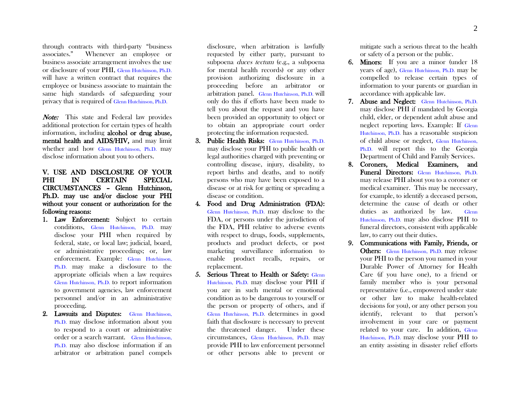through contracts with third-party "business associates." Whenever an employee or business associate arrangement involves the use or disclosure of your PHI, Glenn Hutchinson, Ph.D. will have a written contract that requires the employee or business associate to maintain the same high standards of safeguarding your privacy that is required of Glenn Hutchinson, Ph.D.

Note: This state and Federal law provides additional protection for certain types of health information, including alcohol or drug abuse, mental health and AIDS/HIV, and may limit whether and how Glenn Hutchinson, Ph.D. may disclose information about you to others.

## V. USE AND DISCLOSURE OF YOUR PHI IN CERTAIN SPECIAL CIRCUMSTANCES – Glenn Hutchinson, Ph.D. may use and/or disclose your PHI without your consent or authorization for the following reasons:

- 1. Law Enforcement: Subject to certain conditions, Glenn Hutchinson, Ph.D. may disclose your PHI when required by federal, state, or local law; judicial, board, or administrative proceedings; or, law enforcement. Example: Glenn Hutchinson, Ph.D. may make a disclosure to the appropriate officials when a law requires Glenn Hutchinson, Ph.D. to report information to government agencies, law enforcement personnel and/or in an administrative proceeding.
- 2. Lawsuits and Disputes: Glenn Hutchinson, Ph.D. may disclose information about you to respond to a court or administrative order or a search warrant. Glenn Hutchinson, Ph.D. may also disclose information if an arbitrator or arbitration panel compels

disclosure, when arbitration is lawfully requested by either party, pursuant to subpoena duces tectum (e.g., a subpoena for mental health records) or any other provision authorizing disclosure in a proceeding before an arbitrator or arbitration panel. Glenn Hutchinson, Ph.D. will only do this if efforts have been made to tell you about the request and you have been provided an opportunity to object or to obtain an appropriate court order protecting the information requested.

- 3. Public Health Risks: Glenn Hutchinson, Ph.D. may disclose your PHI to public health or legal authorities charged with preventing or controlling disease, injury, disability, to report births and deaths, and to notify persons who may have been exposed to a disease or at risk for getting or spreading a disease or condition.
- 4. Food and Drug Administration (FDA): Glenn Hutchinson, Ph.D. may disclose to the FDA, or persons under the jurisdiction of the FDA, PHI relative to adverse events with respect to drugs, foods, supplements, products and product defects, or post marketing surveillance information to enable product recalls, repairs, or replacement.
- 5. Serious Threat to Health or Safety: Glenn Hutchinson, Ph.D. may disclose your PHI if you are in such mental or emotional condition as to be dangerous to yourself or the person or property of others, and if Glenn Hutchinson, Ph.D. determines in good faith that disclosure is necessary to prevent the threatened danger. Under these circumstances, Glenn Hutchinson, Ph.D. may provide PHI to law enforcement personnel or other persons able to prevent or

mitigate such a serious threat to the health or safety of a person or the public.

- 6. Minors: If you are a minor (under 18 years of age), Glenn Hutchinson, Ph.D. may be compelled to release certain types of information to your parents or guardian in accordance with applicable law.
- 7. Abuse and Neglect: Glenn Hutchinson, Ph.D. may disclose PHI if mandated by Georgia child, elder, or dependent adult abuse and neglect reporting laws. Example: If Glenn Hutchinson, Ph.D. has a reasonable suspicion of child abuse or neglect, Glenn Hutchinson, Ph.D. will report this to the Georgia Department of Child and Family Services.
- 8. Coroners, Medical Examiners, and Funeral Directors: Glenn Hutchinson, Ph.D. may release PHI about you to a coroner or medical examiner. This may be necessary, for example, to identify a deceased person, determine the cause of death or other duties as authorized by law. Glenn Hutchinson, Ph.D. may also disclose PHI to funeral directors, consistent with applicable law, to carry out their duties.
- 9. Communications with Family, Friends, or Others: Glenn Hutchinson, Ph.D. may release your PHI to the person you named in your Durable Power of Attorney for Health Care (if you have one), to a friend or family member who is your personal representative (i.e., empowered under state or other law to make health-related decisions for you), or any other person you identify, relevant to that person's involvement in your care or payment related to your care. In addition, Glenn Hutchinson, Ph.D. may disclose your PHI to an entity assisting in disaster relief efforts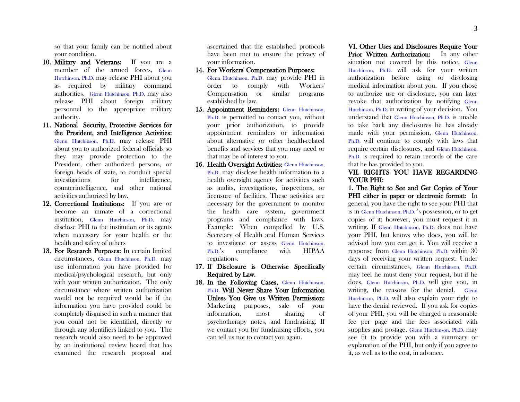so that your family can be notified about your condition.

- 10. Military and Veterans: If you are a member of the armed forces, Glenn Hutchinson, Ph.D. may release PHI about you as required by military command authorities. Glenn Hutchinson, Ph.D. may also release PHI about foreign military personnel to the appropriate military authority.
- 11. National Security, Protective Services for the President, and Intelligence Activities: Glenn Hutchinson, Ph.D. may release PHI about you to authorized federal officials so they may provide protection to the President, other authorized persons, or foreign heads of state, to conduct special investigations for intelligence, counterintelligence, and other national activities authorized by law.
- 12. Correctional Institutions: If you are or become an inmate of a correctional institution, Glenn Hutchinson, Ph.D. may disclose PHI to the institution or its agents when necessary for your health or the health and safety of others
- 13. For Research Purposes: In certain limited circumstances, Glenn Hutchinson, Ph.D. may use information you have provided for medical/psychological research, but only with your written authorization. The only circumstance where written authorization would not be required would be if the information you have provided could be completely disguised in such a manner that you could not be identified, directly or through any identifiers linked to you. The research would also need to be approved by an institutional review board that has examined the research proposal and

ascertained that the established protocols have been met to ensure the privacy of your information.

14. For Workers' Compensation Purposes:

Glenn Hutchinson, Ph.D. may provide PHI in order to comply with Workers' Compensation or similar programs established by law.

- 15. Appointment Reminders: Glenn Hutchinson, Ph.D. is permitted to contact you, without your prior authorization, to provide appointment reminders or information about alternative or other health-related benefits and services that you may need or that may be of interest to you.
- 16. Health Oversight Activities: Glenn Hutchinson, Ph.D. may disclose health information to a health oversight agency for activities such as audits, investigations, inspections, or licensure of facilities. These activities are necessary for the government to monitor the health care system, government programs and compliance with laws. Example: When compelled by U.S. Secretary of Health and Human Services to investigate or assess Glenn Hutchinson, Ph.D.'s compliance with HIPAA regulations.
- 17. If Disclosure is Otherwise Specifically Required by Law.
- 18. In the Following Cases, Glenn Hutchinson, Ph.D. Will Never Share Your Information Unless You Give us Written Permission: Marketing purposes, sale of your information, most sharing of psychotherapy notes, and fundraising. If we contact you for fundraising efforts, you can tell us not to contact you again.

VI. Other Uses and Disclosures Require Your Prior Written Authorization: In any other situation not covered by this notice, Glenn Hutchinson, Ph.D. will ask for your written authorization before using or disclosing medical information about you. If you chose to authorize use or disclosure, you can later revoke that authorization by notifying Glenn Hutchinson, Ph.D. in writing of your decision. You understand that Glenn Hutchinson, Ph.D. is unable to take back any disclosures he has already made with your permission, Glenn Hutchinson, Ph.D. will continue to comply with laws that require certain disclosures, and Glenn Hutchinson, Ph.D. is required to retain records of the care that he has provided to you.

#### VII. RIGHTS YOU HAVE REGARDING YOUR PHI:

1. The Right to See and Get Copies of Your PHI either in paper or electronic format: In general, you have the right to see your PHI that is in Glenn Hutchinson, Ph.D. 's possession, or to get copies of it; however, you must request it in writing. If Glenn Hutchinson, Ph.D. does not have your PHI, but knows who does, you will be advised how you can get it. You will receive a response from Glenn Hutchinson, Ph.D. within 30 days of receiving your written request. Under certain circumstances, Glenn Hutchinson, Ph.D. may feel he must deny your request, but if he does, Glenn Hutchinson, Ph.D. will give you, in writing, the reasons for the denial. Glenn Hutchinson, Ph.D. will also explain your right to have the denial reviewed. If you ask for copies of your PHI, you will be charged a reasonable fee per page and the fees associated with supplies and postage. Glenn Hutchinson, Ph.D. may see fit to provide you with a summary or explanation of the PHI, but only if you agree to it, as well as to the cost, in advance.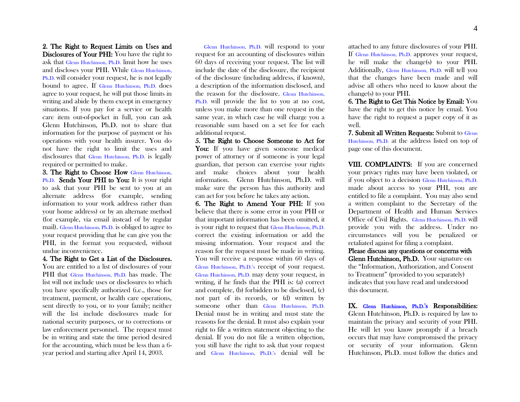2. The Right to Request Limits on Uses and

Disclosures of Your PHI: You have the right to ask that Glenn Hutchinson, Ph.D. limit how he uses and discloses your PHI. While Glenn Hutchinson, Ph.D. will consider your request, he is not legally bound to agree. If Glenn Hutchinson, Ph.D. does agree to your request, he will put those limits in writing and abide by them except in emergency situations. If you pay for a service or health care item out-of-pocket in full, you can ask Glenn Hutchinson, Ph.D. not to share that information for the purpose of payment or his operations with your health insurer. You do not have the right to limit the uses and disclosures that Glenn Hutchinson, Ph.D. is legally required or permitted to make.

3. The Right to Choose How Glenn Hutchinson, Ph.D. Sends Your PHI to You: It is your right to ask that your PHI be sent to you at an alternate address (for example, sending information to your work address rather than your home address) or by an alternate method (for example, via email instead of by regular mail). Glenn Hutchinson, Ph.D. is obliged to agree to your request providing that he can give you the PHI, in the format you requested, without undue inconvenience.

4. The Right to Get a List of the Disclosures. You are entitled to a list of disclosures of your PHI that Glenn Hutchinson, Ph.D. has made. The list will not include uses or disclosures to which you have specifically authorized (i.e., those for treatment, payment, or health care operations, sent directly to you, or to your family; neither will the list include disclosures made for national security purposes, or to corrections or law enforcement personnel. The request must be in writing and state the time period desired for the accounting, which must be less than a 6 year period and starting after April 14, 2003.

 Glenn Hutchinson, Ph.D. will respond to your request for an accounting of disclosures within 60 days of receiving your request. The list will include the date of the disclosure, the recipient of the disclosure (including address, if known), a description of the information disclosed, and the reason for the disclosure. Glenn Hutchinson, Ph.D. will provide the list to you at no cost, unless you make more than one request in the same year, in which case he will charge you a reasonable sum based on a set fee for each additional request.

5. The Right to Choose Someone to Act for You: If you have given someone medical power of attorney or if someone is your legal guardian, that person can exercise your rights and make choices about your health information. Glenn Hutchinson, Ph.D. will make sure the person has this authority and can act for you before he takes any action.

6. The Right to Amend Your PHI: If you believe that there is some error in your PHI or that important information has been omitted, it is your right to request that Glenn Hutchinson, Ph.D. correct the existing information or add the missing information. Your request and the reason for the request must be made in writing. You will receive a response within 60 days of Glenn Hutchinson, Ph.D.'s receipt of your request. Glenn Hutchinson, Ph.D. may deny your request, in writing, if he finds that the PHI is: (a) correct and complete, (b) forbidden to be disclosed, (c) not part of its records, or (d) written by someone other than Glenn Hutchinson, Ph.D. Denial must be in writing and must state the reasons for the denial. It must also explain your right to file a written statement objecting to the denial. If you do not file a written objection, you still have the right to ask that your request and Glenn Hutchinson, Ph.D.'s denial will be

attached to any future disclosures of your PHI. If Glenn Hutchinson, Ph.D. approves your request, he will make the change(s) to your PHI. Additionally, Glenn Hutchinson, Ph.D. will tell you that the changes have been made and will advise all others who need to know about the change(s) to your PHI.

6. The Right to Get This Notice by Email: You have the right to get this notice by email. You have the right to request a paper copy of it as well.

7. Submit all Written Requests: Submit to Glenn Hutchinson, Ph.D. at the address listed on top of page one of this document.

VIII. COMPLAINTS: If you are concerned your privacy rights may have been violated, or if you object to a decision Glenn Hutchinson, Ph.D. made about access to your PHI, you are entitled to file a complaint. You may also send a written complaint to the Secretary of the Department of Health and Human Services Office of Civil Rights. Glenn Hutchinson, Ph.D. will provide you with the address. Under no circumstances will you be penalized or retaliated against for filing a complaint.

Please discuss any questions or concerns with Glenn Hutchinson, Ph.D. Your signature on the "Information, Authorization, and Consent to Treatment" (provided to you separately) indicates that you have read and understood this document.

IX. Glenn Hutchinson, Ph.D.'s Responsibilities: Glenn Hutchinson, Ph.D. is required by law to maintain the privacy and security of your PHI. He will let you know promptly if a breach occurs that may have compromised the privacy or security of your information. Glenn Hutchinson, Ph.D. must follow the duties and